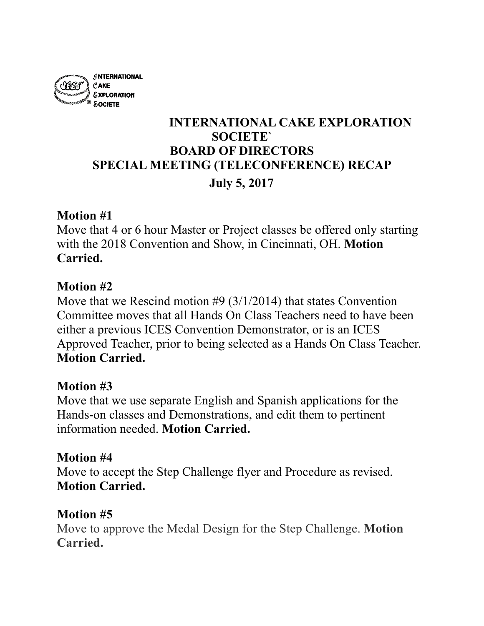

# **INTERNATIONAL CAKE EXPLORATION SOCIETE` BOARD OF DIRECTORS SPECIAL MEETING (TELECONFERENCE) RECAP July 5, 2017**

### **Motion #1**

Move that 4 or 6 hour Master or Project classes be offered only starting with the 2018 Convention and Show, in Cincinnati, OH. **Motion Carried.**

#### **Motion #2**

Move that we Rescind motion #9 (3/1/2014) that states Convention Committee moves that all Hands On Class Teachers need to have been either a previous ICES Convention Demonstrator, or is an ICES Approved Teacher, prior to being selected as a Hands On Class Teacher. **Motion Carried.**

### **Motion #3**

Move that we use separate English and Spanish applications for the Hands-on classes and Demonstrations, and edit them to pertinent information needed. **Motion Carried.**

### **Motion #4**

Move to accept the Step Challenge flyer and Procedure as revised. **Motion Carried.**

### **Motion #5**

Move to approve the Medal Design for the Step Challenge. **Motion Carried.**